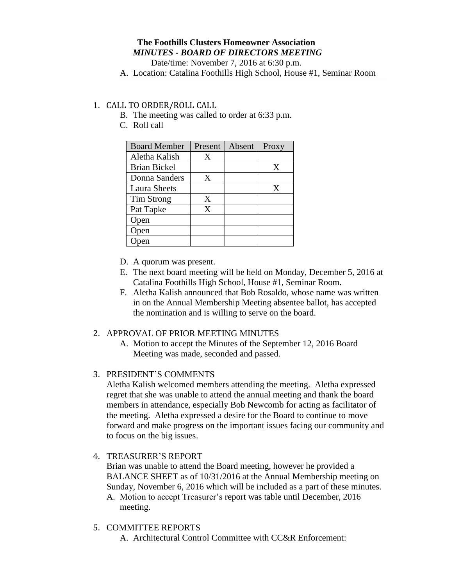# **The Foothills Clusters Homeowner Association** *MINUTES - BOARD OF DIRECTORS MEETING*

Date/time: November 7, 2016 at 6:30 p.m.

A. Location: Catalina Foothills High School, House #1, Seminar Room

## 1. CALL TO ORDER/ROLL CALL

- B. The meeting was called to order at 6:33 p.m.
- C. Roll call

| <b>Board Member</b> | Present | Absent | Proxy |
|---------------------|---------|--------|-------|
| Aletha Kalish       | X       |        |       |
| <b>Brian Bickel</b> |         |        | X     |
| Donna Sanders       | X       |        |       |
| Laura Sheets        |         |        | X     |
| Tim Strong          | X       |        |       |
| Pat Tapke           | X       |        |       |
| Open                |         |        |       |
| Open                |         |        |       |
|                     |         |        |       |

- D. A quorum was present.
- E. The next board meeting will be held on Monday, December 5, 2016 at Catalina Foothills High School, House #1, Seminar Room.
- F. Aletha Kalish announced that Bob Rosaldo, whose name was written in on the Annual Membership Meeting absentee ballot, has accepted the nomination and is willing to serve on the board.

### 2. APPROVAL OF PRIOR MEETING MINUTES

A. Motion to accept the Minutes of the September 12, 2016 Board Meeting was made, seconded and passed.

### 3. PRESIDENT'S COMMENTS

Aletha Kalish welcomed members attending the meeting. Aletha expressed regret that she was unable to attend the annual meeting and thank the board members in attendance, especially Bob Newcomb for acting as facilitator of the meeting. Aletha expressed a desire for the Board to continue to move forward and make progress on the important issues facing our community and to focus on the big issues.

4. TREASURER'S REPORT

Brian was unable to attend the Board meeting, however he provided a BALANCE SHEET as of 10/31/2016 at the Annual Membership meeting on Sunday, November 6, 2016 which will be included as a part of these minutes. A. Motion to accept Treasurer's report was table until December, 2016 meeting.

- 5. COMMITTEE REPORTS
	- A. Architectural Control Committee with CC&R Enforcement: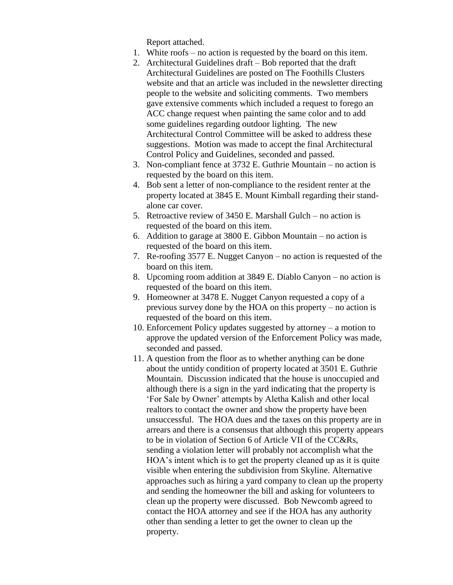Report attached.

- 1. White roofs no action is requested by the board on this item.
- 2. Architectural Guidelines draft Bob reported that the draft Architectural Guidelines are posted on The Foothills Clusters website and that an article was included in the newsletter directing people to the website and soliciting comments. Two members gave extensive comments which included a request to forego an ACC change request when painting the same color and to add some guidelines regarding outdoor lighting. The new Architectural Control Committee will be asked to address these suggestions. Motion was made to accept the final Architectural Control Policy and Guidelines, seconded and passed.
- 3. Non-compliant fence at 3732 E. Guthrie Mountain no action is requested by the board on this item.
- 4. Bob sent a letter of non-compliance to the resident renter at the property located at 3845 E. Mount Kimball regarding their standalone car cover.
- 5. Retroactive review of 3450 E. Marshall Gulch no action is requested of the board on this item.
- 6. Addition to garage at 3800 E. Gibbon Mountain no action is requested of the board on this item.
- 7. Re-roofing 3577 E. Nugget Canyon no action is requested of the board on this item.
- 8. Upcoming room addition at 3849 E. Diablo Canyon no action is requested of the board on this item.
- 9. Homeowner at 3478 E. Nugget Canyon requested a copy of a previous survey done by the HOA on this property – no action is requested of the board on this item.
- 10. Enforcement Policy updates suggested by attorney a motion to approve the updated version of the Enforcement Policy was made, seconded and passed.
- 11. A question from the floor as to whether anything can be done about the untidy condition of property located at 3501 E. Guthrie Mountain. Discussion indicated that the house is unoccupied and although there is a sign in the yard indicating that the property is 'For Sale by Owner' attempts by Aletha Kalish and other local realtors to contact the owner and show the property have been unsuccessful. The HOA dues and the taxes on this property are in arrears and there is a consensus that although this property appears to be in violation of Section 6 of Article VII of the CC&Rs, sending a violation letter will probably not accomplish what the HOA's intent which is to get the property cleaned up as it is quite visible when entering the subdivision from Skyline. Alternative approaches such as hiring a yard company to clean up the property and sending the homeowner the bill and asking for volunteers to clean up the property were discussed. Bob Newcomb agreed to contact the HOA attorney and see if the HOA has any authority other than sending a letter to get the owner to clean up the property.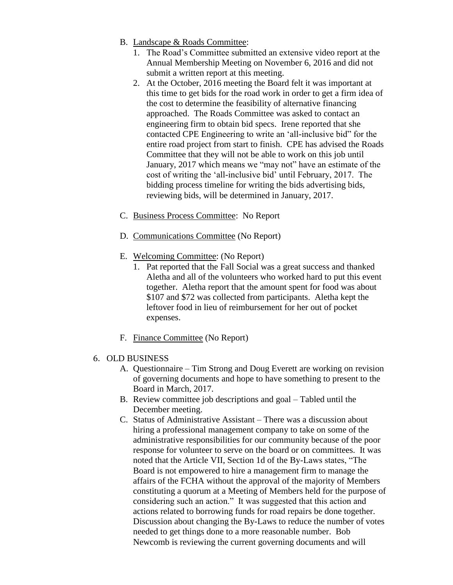- B. Landscape & Roads Committee:
	- 1. The Road's Committee submitted an extensive video report at the Annual Membership Meeting on November 6, 2016 and did not submit a written report at this meeting.
	- 2. At the October, 2016 meeting the Board felt it was important at this time to get bids for the road work in order to get a firm idea of the cost to determine the feasibility of alternative financing approached. The Roads Committee was asked to contact an engineering firm to obtain bid specs. Irene reported that she contacted CPE Engineering to write an 'all-inclusive bid" for the entire road project from start to finish. CPE has advised the Roads Committee that they will not be able to work on this job until January, 2017 which means we "may not" have an estimate of the cost of writing the 'all-inclusive bid' until February, 2017. The bidding process timeline for writing the bids advertising bids, reviewing bids, will be determined in January, 2017.
- C. Business Process Committee: No Report
- D. Communications Committee (No Report)
- E. Welcoming Committee: (No Report)
	- 1. Pat reported that the Fall Social was a great success and thanked Aletha and all of the volunteers who worked hard to put this event together. Aletha report that the amount spent for food was about \$107 and \$72 was collected from participants. Aletha kept the leftover food in lieu of reimbursement for her out of pocket expenses.
- F. Finance Committee (No Report)
- 6. OLD BUSINESS
	- A. Questionnaire Tim Strong and Doug Everett are working on revision of governing documents and hope to have something to present to the Board in March, 2017.
	- B. Review committee job descriptions and goal Tabled until the December meeting.
	- C. Status of Administrative Assistant There was a discussion about hiring a professional management company to take on some of the administrative responsibilities for our community because of the poor response for volunteer to serve on the board or on committees. It was noted that the Article VII, Section 1d of the By-Laws states, "The Board is not empowered to hire a management firm to manage the affairs of the FCHA without the approval of the majority of Members constituting a quorum at a Meeting of Members held for the purpose of considering such an action." It was suggested that this action and actions related to borrowing funds for road repairs be done together. Discussion about changing the By-Laws to reduce the number of votes needed to get things done to a more reasonable number. Bob Newcomb is reviewing the current governing documents and will